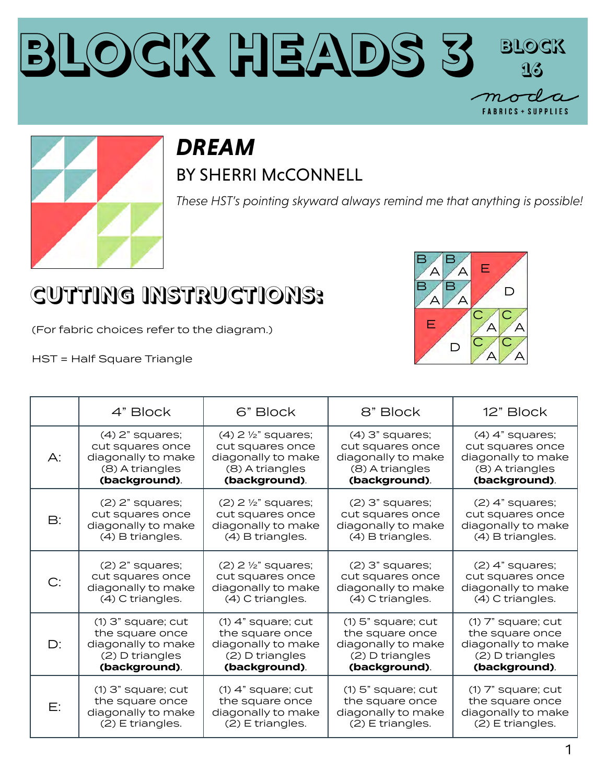



## *DREAM* BY SHERRI McCONNELL

*These HST's pointing skyward always remind me that anything is possible!* 

## **CUTTING INSTRUCTIONS:**

(For fabric choices refer to the diagram.)

HST = Half Square Triangle



|           | 4" Block             | 6" Block                         | 8" Block             | 12" Block              |
|-----------|----------------------|----------------------------------|----------------------|------------------------|
| A:        | $(4)$ 2" squares;    | $(4)$ 2 $\frac{1}{2}$ " squares; | $(4)$ 3" squares;    | $(4)$ 4" squares;      |
|           | cut squares once     | cut squares once                 | cut squares once     | cut squares once       |
|           | diagonally to make   | diagonally to make               | diagonally to make   | diagonally to make     |
|           | (8) A triangles      | (8) A triangles                  | (8) A triangles      | (8) A triangles        |
|           | (background).        | (background).                    | (background).        | (background).          |
| <b>B:</b> | $(2)$ 2" squares;    | $(2)$ 2 $\frac{1}{2}$ " squares; | $(2)$ 3" squares;    | $(2)$ 4" squares;      |
|           | cut squares once     | cut squares once                 | cut squares once     | cut squares once       |
|           | diagonally to make   | diagonally to make               | diagonally to make   | diagonally to make     |
|           | (4) B triangles.     | (4) B triangles.                 | (4) B triangles.     | (4) B triangles.       |
| C:        | $(2)$ $2"$ squares;  | $(2)$ 2 $\frac{1}{2}$ " squares; | $(2)$ 3" squares;    | $(2)$ 4" squares;      |
|           | cut squares once     | cut squares once                 | cut squares once     | cut squares once       |
|           | diagonally to make   | diagonally to make               | diagonally to make   | diagonally to make     |
|           | (4) C triangles.     | (4) C triangles.                 | (4) C triangles.     | (4) C triangles.       |
| D:        | $(1)$ 3" square; cut | $(1)$ 4" square; cut             | $(1)$ 5" square; cut | $(1)$ $7"$ square; cut |
|           | the square once      | the square once                  | the square once      | the square once        |
|           | diagonally to make   | diagonally to make               | diagonally to make   | diagonally to make     |
|           | (2) D triangles      | (2) D triangles                  | (2) D triangles      | (2) D triangles        |
|           | (background).        | (background).                    | (background).        | (background).          |
| E:        | $(1)$ 3" square; cut | $(1)$ 4" square; cut             | $(1)$ 5" square; cut | $(1)$ $7"$ square; cut |
|           | the square once      | the square once                  | the square once      | the square once        |
|           | diagonally to make   | diagonally to make               | diagonally to make   | diagonally to make     |
|           | (2) E triangles.     | (2) E triangles.                 | (2) E triangles.     | (2) E triangles.       |